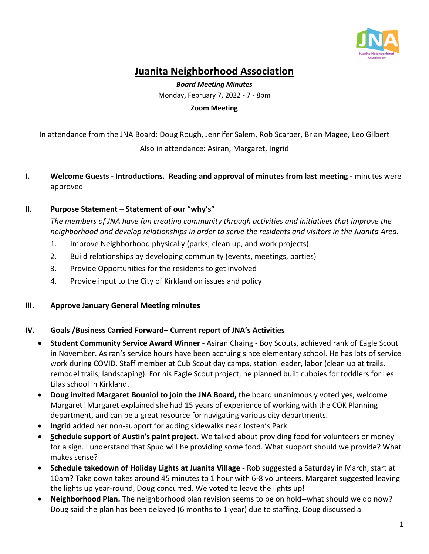

# **Juanita Neighborhood Association**

*Board Meeting Minutes* Monday, February 7, 2022 - 7 - 8pm

**Zoom Meeting**

In attendance from the JNA Board: Doug Rough, Jennifer Salem, Rob Scarber, Brian Magee, Leo Gilbert Also in attendance: Asiran, Margaret, Ingrid

**I. Welcome Guests - Introductions. Reading and approval of minutes from last meeting -** minutes were approved

## **II. Purpose Statement – Statement of our "why's"**

*The members of JNA have fun creating community through activities and initiatives that improve the neighborhood and develop relationships in order to serve the residents and visitors in the Juanita Area.*

- 1. Improve Neighborhood physically (parks, clean up, and work projects)
- 2. Build relationships by developing community (events, meetings, parties)
- 3. Provide Opportunities for the residents to get involved
- 4. Provide input to the City of Kirkland on issues and policy

### **III. Approve January General Meeting minutes**

### **IV. Goals /Business Carried Forward– Current report of JNA's Activities**

- **Student Community Service Award Winner** Asiran Chaing Boy Scouts, achieved rank of Eagle Scout in November. Asiran's service hours have been accruing since elementary school. He has lots of service work during COVID. Staff member at Cub Scout day camps, station leader, labor (clean up at trails, remodel trails, landscaping). For his Eagle Scout project, he planned built cubbies for toddlers for Les Lilas school in Kirkland.
- **Doug invited Margaret Bouniol to join the JNA Board,** the board unanimously voted yes, welcome Margaret! Margaret explained she had 15 years of experience of working with the COK Planning department, and can be a great resource for navigating various city departments.
- **Ingrid** added her non-support for adding sidewalks near Josten's Park.
- **Schedule support of Austin's paint project**. We talked about providing food for volunteers or money for a sign. I understand that Spud will be providing some food. What support should we provide? What makes sense?
- **Schedule takedown of Holiday Lights at Juanita Village -** Rob suggested a Saturday in March, start at 10am? Take down takes around 45 minutes to 1 hour with 6-8 volunteers. Margaret suggested leaving the lights up year-round, Doug concurred. We voted to leave the lights up!
- **Neighborhood Plan.** The neighborhood plan revision seems to be on hold--what should we do now? Doug said the plan has been delayed (6 months to 1 year) due to staffing. Doug discussed a